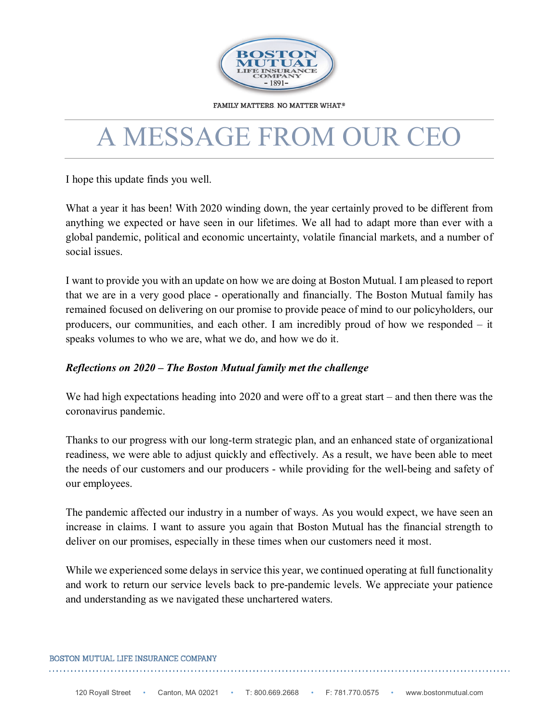

**FAMILY MATTERS. NO MATTER WHAT.®** 

## A MESSAGE FROM OUR CEO

I hope this update finds you well.

What a year it has been! With 2020 winding down, the year certainly proved to be different from anything we expected or have seen in our lifetimes. We all had to adapt more than ever with a global pandemic, political and economic uncertainty, volatile financial markets, and a number of social issues.

 I want to provide you with an update on how we are doing at Boston Mutual. I am pleased to report that we are in a very good place - operationally and financially. The Boston Mutual family has remained focused on delivering on our promise to provide peace of mind to our policyholders, our speaks volumes to who we are, what we do, and how we do it. producers, our communities, and each other. I am incredibly proud of how we responded – it

## *Reflections on 2020 – The Boston Mutual family met the challenge*

coronavirus pandemic. We had high expectations heading into 2020 and were off to a great start – and then there was the

 the needs of our customers and our producers - while providing for the well-being and safety of Thanks to our progress with our long-term strategic plan, and an enhanced state of organizational readiness, we were able to adjust quickly and effectively. As a result, we have been able to meet our employees.

 increase in claims. I want to assure you again that Boston Mutual has the financial strength to deliver on our promises, especially in these times when our customers need it most. The pandemic affected our industry in a number of ways. As you would expect, we have seen an

 While we experienced some delays in service this year, we continued operating at full functionality and work to return our service levels back to pre-pandemic levels. We appreciate your patience and understanding as we navigated these unchartered waters.

## BOSTON MUTUAL LIFE INSURANCE COMPANY